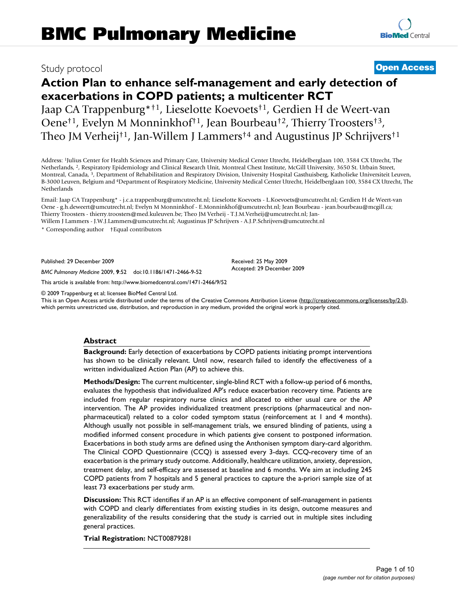# **Action Plan to enhance self-management and early detection of exacerbations in COPD patients; a multicenter RCT**

Jaap CA Trappenburg\*†1, Lieselotte Koevoets†1, Gerdien H de Weert-van Oene†1, Evelyn M Monninkhof†1, Jean Bourbeau†2, Thierry Troosters†3, Theo JM Verheij†1, Jan-Willem J Lammers†4 and Augustinus JP Schrijvers†1

Address: 1Julius Center for Health Sciences and Primary Care, University Medical Center Utrecht, Heidelberglaan 100, 3584 CX Utrecht, The Netherlands, 2, Respiratory Epidemiology and Clinical Research Unit, Montreal Chest Institute, McGill University, 3650 St. Urbain Street, Montreal, Canada, 3, Department of Rehabilitation and Respiratory Division, University Hospital Gasthuisberg, Katholieke Universiteit Leuven, B-3000 Leuven, Belgium and 4Department of Respiratory Medicine, University Medical Center Utrecht, Heidelberglaan 100, 3584 CX Utrecht, The Netherlands

Email: Jaap CA Trappenburg\* - j.c.a.trappenburg@umcutrecht.nl; Lieselotte Koevoets - L.Koevoets@umcutrecht.nl; Gerdien H de Weert-van Oene - g.h.deweert@umcutrecht.nl; Evelyn M Monninkhof - E.Monninkhof@umcutrecht.nl; Jean Bourbeau - jean.bourbeau@mcgill.ca; Thierry Troosters - thierry.troosters@med.kuleuven.be; Theo JM Verheij - T.J.M.Verheij@umcutrecht.nl; Jan-Willem J Lammers - J.W.J.Lammers@umcutrecht.nl; Augustinus JP Schrijvers - A.J.P.Schrijvers@umcutrecht.nl

\* Corresponding author †Equal contributors

Published: 29 December 2009

*BMC Pulmonary Medicine* 2009, **9**:52 doi:10.1186/1471-2466-9-52

[This article is available from: http://www.biomedcentral.com/1471-2466/9/52](http://www.biomedcentral.com/1471-2466/9/52)

© 2009 Trappenburg et al; licensee BioMed Central Ltd.

This is an Open Access article distributed under the terms of the Creative Commons Attribution License [\(http://creativecommons.org/licenses/by/2.0\)](http://creativecommons.org/licenses/by/2.0), which permits unrestricted use, distribution, and reproduction in any medium, provided the original work is properly cited.

#### **Abstract**

**Background:** Early detection of exacerbations by COPD patients initiating prompt interventions has shown to be clinically relevant. Until now, research failed to identify the effectiveness of a written individualized Action Plan (AP) to achieve this.

**Methods/Design:** The current multicenter, single-blind RCT with a follow-up period of 6 months, evaluates the hypothesis that individualized AP's reduce exacerbation recovery time. Patients are included from regular respiratory nurse clinics and allocated to either usual care or the AP intervention. The AP provides individualized treatment prescriptions (pharmaceutical and nonpharmaceutical) related to a color coded symptom status (reinforcement at 1 and 4 months). Although usually not possible in self-management trials, we ensured blinding of patients, using a modified informed consent procedure in which patients give consent to postponed information. Exacerbations in both study arms are defined using the Anthonisen symptom diary-card algorithm. The Clinical COPD Questionnaire (CCQ) is assessed every 3-days. CCQ-recovery time of an exacerbation is the primary study outcome. Additionally, healthcare utilization, anxiety, depression, treatment delay, and self-efficacy are assessed at baseline and 6 months. We aim at including 245 COPD patients from 7 hospitals and 5 general practices to capture the a-priori sample size of at least 73 exacerbations per study arm.

**Discussion:** This RCT identifies if an AP is an effective component of self-management in patients with COPD and clearly differentiates from existing studies in its design, outcome measures and generalizability of the results considering that the study is carried out in multiple sites including general practices.

**Trial Registration:** NCT00879281

# Study protocol **[Open Access](http://www.biomedcentral.com/info/about/charter/)**

Received: 25 May 2009 Accepted: 29 December 2009

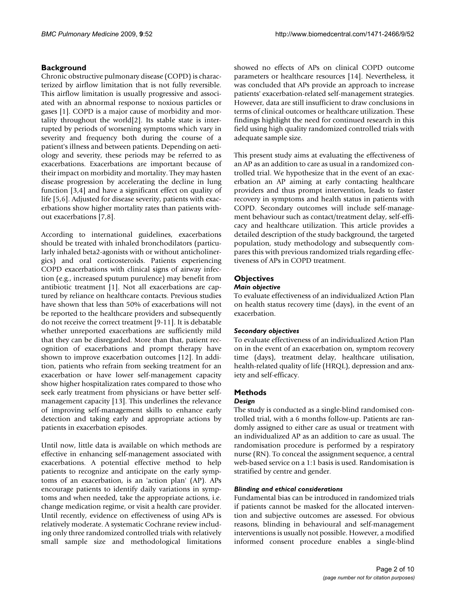# **Background**

Chronic obstructive pulmonary disease (COPD) is characterized by airflow limitation that is not fully reversible. This airflow limitation is usually progressive and associated with an abnormal response to noxious particles or gases [1]. COPD is a major cause of morbidity and mortality throughout the world[2]. Its stable state is interrupted by periods of worsening symptoms which vary in severity and frequency both during the course of a patient's illness and between patients. Depending on aetiology and severity, these periods may be referred to as exacerbations. Exacerbations are important because of their impact on morbidity and mortality. They may hasten disease progression by accelerating the decline in lung function [3,4] and have a significant effect on quality of life [5,6]. Adjusted for disease severity, patients with exacerbations show higher mortality rates than patients without exacerbations [7,8].

According to international guidelines, exacerbations should be treated with inhaled bronchodilators (particularly inhaled beta2-agonists with or without anticholinergics) and oral corticosteroids. Patients experiencing COPD exacerbations with clinical signs of airway infection (e.g., increased sputum purulence) may benefit from antibiotic treatment [1]. Not all exacerbations are captured by reliance on healthcare contacts. Previous studies have shown that less than 50% of exacerbations will not be reported to the healthcare providers and subsequently do not receive the correct treatment [9-11]. It is debatable whether unreported exacerbations are sufficiently mild that they can be disregarded. More than that, patient recognition of exacerbations and prompt therapy have shown to improve exacerbation outcomes [12]. In addition, patients who refrain from seeking treatment for an exacerbation or have lower self-management capacity show higher hospitalization rates compared to those who seek early treatment from physicians or have better selfmanagement capacity [13]. This underlines the relevance of improving self-management skills to enhance early detection and taking early and appropriate actions by patients in exacerbation episodes.

Until now, little data is available on which methods are effective in enhancing self-management associated with exacerbations. A potential effective method to help patients to recognize and anticipate on the early symptoms of an exacerbation, is an 'action plan' (AP). APs encourage patients to identify daily variations in symptoms and when needed, take the appropriate actions, i.e. change medication regime, or visit a health care provider. Until recently, evidence on effectiveness of using APs is relatively moderate. A systematic Cochrane review including only three randomized controlled trials with relatively small sample size and methodological limitations

showed no effects of APs on clinical COPD outcome parameters or healthcare resources [14]. Nevertheless, it was concluded that APs provide an approach to increase patients' exacerbation-related self-management strategies. However, data are still insufficient to draw conclusions in terms of clinical outcomes or healthcare utilization. These findings highlight the need for continued research in this field using high quality randomized controlled trials with adequate sample size.

This present study aims at evaluating the effectiveness of an AP as an addition to care as usual in a randomized controlled trial. We hypothesize that in the event of an exacerbation an AP aiming at early contacting healthcare providers and thus prompt intervention, leads to faster recovery in symptoms and health status in patients with COPD. Secondary outcomes will include self-management behaviour such as contact/treatment delay, self-efficacy and healthcare utilization. This article provides a detailed description of the study background, the targeted population, study methodology and subsequently compares this with previous randomized trials regarding effectiveness of APs in COPD treatment.

# **Objectives**

#### *Main objective*

To evaluate effectiveness of an individualized Action Plan on health status recovery time (days), in the event of an exacerbation.

# *Secondary objectives*

To evaluate effectiveness of an individualized Action Plan on in the event of an exacerbation on, symptom recovery time (days), treatment delay, healthcare utilisation, health-related quality of life (HRQL), depression and anxiety and self-efficacy.

# **Methods**

# *Design*

The study is conducted as a single-blind randomised controlled trial, with a 6 months follow-up. Patients are randomly assigned to either care as usual or treatment with an individualized AP as an addition to care as usual. The randomisation procedure is performed by a respiratory nurse (RN). To conceal the assignment sequence, a central web-based service on a 1:1 basis is used. Randomisation is stratified by centre and gender.

# *Blinding and ethical considerations*

Fundamental bias can be introduced in randomized trials if patients cannot be masked for the allocated intervention and subjective outcomes are assessed. For obvious reasons, blinding in behavioural and self-management interventions is usually not possible. However, a modified informed consent procedure enables a single-blind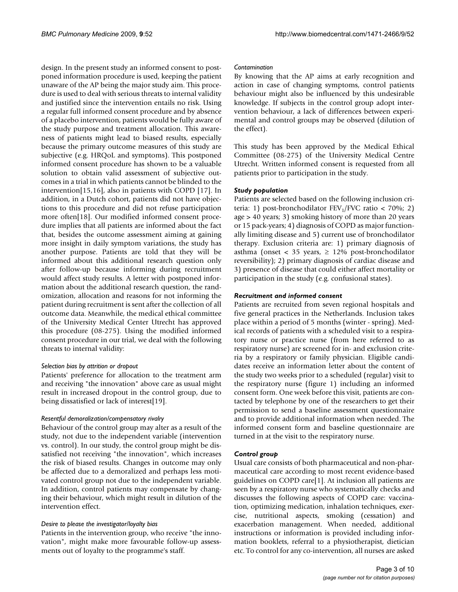design. In the present study an informed consent to postponed information procedure is used, keeping the patient unaware of the AP being the major study aim. This procedure is used to deal with serious threats to internal validity and justified since the intervention entails no risk. Using a regular full informed consent procedure and by absence of a placebo intervention, patients would be fully aware of the study purpose and treatment allocation. This awareness of patients might lead to biased results, especially because the primary outcome measures of this study are subjective (e.g. HRQoL and symptoms). This postponed informed consent procedure has shown to be a valuable solution to obtain valid assessment of subjective outcomes in a trial in which patients cannot be blinded to the intervention[15,16], also in patients with COPD [17]. In addition, in a Dutch cohort, patients did not have objections to this procedure and did not refuse participation more often[18]. Our modified informed consent procedure implies that all patients are informed about the fact that, besides the outcome assessment aiming at gaining more insight in daily symptom variations, the study has another purpose. Patients are told that they will be informed about this additional research question only after follow-up because informing during recruitment would affect study results. A letter with postponed information about the additional research question, the randomization, allocation and reasons for not informing the patient during recruitment is sent after the collection of all outcome data. Meanwhile, the medical ethical committee of the University Medical Center Utrecht has approved this procedure (08-275). Using the modified informed consent procedure in our trial, we deal with the following threats to internal validity:

#### *Selection bias by attrition or dropout*

Patients' preference for allocation to the treatment arm and receiving "the innovation" above care as usual might result in increased dropout in the control group, due to being dissatisfied or lack of interest[19].

# *Resentful demoralization/compensatory rivalry*

Behaviour of the control group may alter as a result of the study, not due to the independent variable (intervention vs. control). In our study, the control group might be dissatisfied not receiving "the innovation", which increases the risk of biased results. Changes in outcome may only be affected due to a demoralized and perhaps less motivated control group not due to the independent variable. In addition, control patients may compensate by changing their behaviour, which might result in dilution of the intervention effect.

# *Desire to please the investigator/loyalty bias*

Patients in the intervention group, who receive "the innovation", might make more favourable follow-up assessments out of loyalty to the programme's staff.

#### *Contamination*

By knowing that the AP aims at early recognition and action in case of changing symptoms, control patients behaviour might also be influenced by this undesirable knowledge. If subjects in the control group adopt intervention behaviour, a lack of differences between experimental and control groups may be observed (dilution of the effect).

This study has been approved by the Medical Ethical Committee (08-275) of the University Medical Centre Utrecht. Written informed consent is requested from all patients prior to participation in the study.

#### *Study population*

Patients are selected based on the following inclusion criteria: 1) post-bronchodilator  $FEV_1/FVC$  ratio  $\lt$  70%; 2) age > 40 years; 3) smoking history of more than 20 years or 15 pack-years; 4) diagnosis of COPD as major functionally limiting disease and 5) current use of bronchodilator therapy. Exclusion criteria are: 1) primary diagnosis of asthma (onset < 35 years,  $\geq$  12% post-bronchodilator reversibility); 2) primary diagnosis of cardiac disease and 3) presence of disease that could either affect mortality or participation in the study (e.g. confusional states).

### *Recruitment and informed consent*

Patients are recruited from seven regional hospitals and five general practices in the Netherlands. Inclusion takes place within a period of 5 months (winter - spring). Medical records of patients with a scheduled visit to a respiratory nurse or practice nurse (from here referred to as respiratory nurse) are screened for in- and exclusion criteria by a respiratory or family physician. Eligible candidates receive an information letter about the content of the study two weeks prior to a scheduled (regular) visit to the respiratory nurse (figure 1) including an informed consent form. One week before this visit, patients are contacted by telephone by one of the researchers to get their permission to send a baseline assessment questionnaire and to provide additional information when needed. The informed consent form and baseline questionnaire are turned in at the visit to the respiratory nurse.

# *Control group*

Usual care consists of both pharmaceutical and non-pharmaceutical care according to most recent evidence-based guidelines on COPD care[1]. At inclusion all patients are seen by a respiratory nurse who systematically checks and discusses the following aspects of COPD care: vaccination, optimizing medication, inhalation techniques, exercise, nutritional aspects, smoking (cessation) and exacerbation management. When needed, additional instructions or information is provided including information booklets, referral to a physiotherapist, dietician etc. To control for any co-intervention, all nurses are asked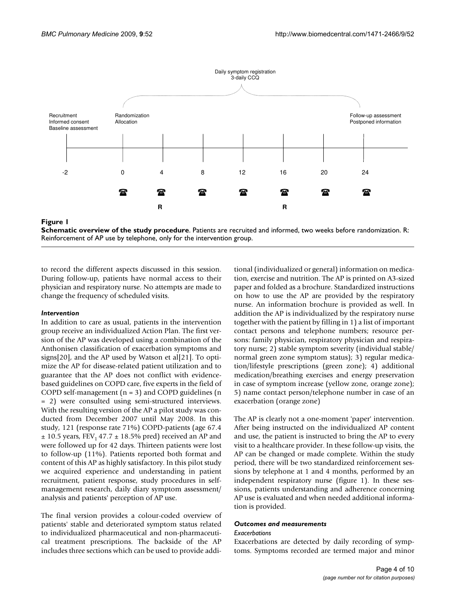

**Schematic overview of the study procedure**. Patients are recruited and informed, two weeks before randomization. R: Reinforcement of AP use by telephone, only for the intervention group.

to record the different aspects discussed in this session. During follow-up, patients have normal access to their physician and respiratory nurse. No attempts are made to change the frequency of scheduled visits.

#### *Intervention*

In addition to care as usual, patients in the intervention group receive an individualized Action Plan. The first version of the AP was developed using a combination of the Anthonisen classification of exacerbation symptoms and signs[20], and the AP used by Watson et al[21]. To optimize the AP for disease-related patient utilization and to guarantee that the AP does not conflict with evidencebased guidelines on COPD care, five experts in the field of COPD self-management  $(n = 3)$  and COPD guidelines  $(n = 1)$ = 2) were consulted using semi-structured interviews. With the resulting version of the AP a pilot study was conducted from December 2007 until May 2008. In this study, 121 (response rate 71%) COPD-patients (age 67.4  $± 10.5$  years, FEV<sub>1</sub> 47.7  $± 18.5%$  pred) received an AP and were followed up for 42 days. Thirteen patients were lost to follow-up (11%). Patients reported both format and content of this AP as highly satisfactory. In this pilot study we acquired experience and understanding in patient recruitment, patient response, study procedures in selfmanagement research, daily diary symptom assessment/ analysis and patients' perception of AP use.

The final version provides a colour-coded overview of patients' stable and deteriorated symptom status related to individualized pharmaceutical and non-pharmaceutical treatment prescriptions. The backside of the AP includes three sections which can be used to provide additional (individualized or general) information on medication, exercise and nutrition. The AP is printed on A3-sized paper and folded as a brochure. Standardized instructions on how to use the AP are provided by the respiratory nurse. An information brochure is provided as well. In addition the AP is individualized by the respiratory nurse together with the patient by filling in 1) a list of important contact persons and telephone numbers; resource persons: family physician, respiratory physician and respiratory nurse; 2) stable symptom severity (individual stable/ normal green zone symptom status); 3) regular medication/lifestyle prescriptions (green zone); 4) additional medication/breathing exercises and energy preservation in case of symptom increase (yellow zone, orange zone); 5) name contact person/telephone number in case of an exacerbation (orange zone)

The AP is clearly not a one-moment 'paper' intervention. After being instructed on the individualized AP content and use, the patient is instructed to bring the AP to every visit to a healthcare provider. In these follow-up visits, the AP can be changed or made complete. Within the study period, there will be two standardized reinforcement sessions by telephone at 1 and 4 months, performed by an independent respiratory nurse (figure 1). In these sessions, patients understanding and adherence concerning AP use is evaluated and when needed additional information is provided.

#### *Outcomes and measurements*

#### *Exacerbations*

Exacerbations are detected by daily recording of symptoms. Symptoms recorded are termed major and minor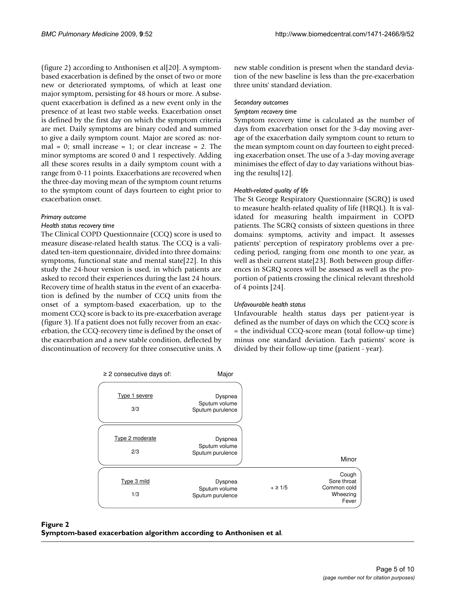(figure 2) according to Anthonisen et al[20]. A symptombased exacerbation is defined by the onset of two or more new or deteriorated symptoms, of which at least one major symptom, persisting for 48 hours or more. A subsequent exacerbation is defined as a new event only in the presence of at least two stable weeks. Exacerbation onset is defined by the first day on which the symptom criteria are met. Daily symptoms are binary coded and summed to give a daily symptom count. Major are scored as: normal = 0; small increase = 1; or clear increase = 2. The minor symptoms are scored 0 and 1 respectively. Adding all these scores results in a daily symptom count with a range from 0-11 points. Exacerbations are recovered when the three-day moving mean of the symptom count returns to the symptom count of days fourteen to eight prior to exacerbation onset.

#### *Primary outcome*

#### *Health status recovery time*

The Clinical COPD Questionnaire (CCQ) score is used to measure disease-related health status. The CCQ is a validated ten-item questionnaire, divided into three domains: symptoms, functional state and mental state[22]. In this study the 24-hour version is used, in which patients are asked to record their experiences during the last 24 hours. Recovery time of health status in the event of an exacerbation is defined by the number of CCQ units from the onset of a symptom-based exacerbation, up to the moment CCQ score is back to its pre-exacerbation average (figure 3). If a patient does not fully recover from an exacerbation, the CCQ-recovery time is defined by the onset of the exacerbation and a new stable condition, deflected by discontinuation of recovery for three consecutive units. A new stable condition is present when the standard deviation of the new baseline is less than the pre-exacerbation three units' standard deviation.

#### *Secondary outcomes*

#### *Symptom recovery time*

Symptom recovery time is calculated as the number of days from exacerbation onset for the 3-day moving average of the exacerbation daily symptom count to return to the mean symptom count on day fourteen to eight preceding exacerbation onset. The use of a 3-day moving average minimises the effect of day to day variations without biasing the results[12].

#### *Health-related quality of life*

The St George Respiratory Questionnaire (SGRQ) is used to measure health-related quality of life (HRQL). It is validated for measuring health impairment in COPD patients. The SGRQ consists of sixteen questions in three domains: symptoms, activity and impact. It assesses patients' perception of respiratory problems over a preceding period, ranging from one month to one year, as well as their current state[23]. Both between group differences in SGRQ scores will be assessed as well as the proportion of patients crossing the clinical relevant threshold of 4 points [24].

# *Unfavourable health status*

Unfavourable health status days per patient-year is defined as the number of days on which the CCQ score is = the individual CCQ-score mean (total follow-up time) minus one standard deviation. Each patients' score is divided by their follow-up time (patient - year).



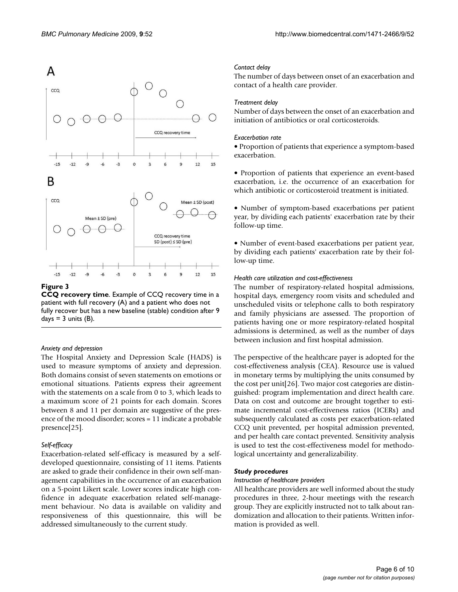

#### **Figure 3**

**CCQ recovery time**. Example of CCQ recovery time in a patient with full recovery (A) and a patient who does not fully recover but has a new baseline (stable) condition after 9 days  $= 3$  units (B).

3

#### *Anxiety and depression*

The Hospital Anxiety and Depression Scale (HADS) is used to measure symptoms of anxiety and depression. Both domains consist of seven statements on emotions or emotional situations. Patients express their agreement with the statements on a scale from 0 to 3, which leads to a maximum score of 21 points for each domain. Scores between 8 and 11 per domain are suggestive of the presence of the mood disorder; scores = 11 indicate a probable presence[25].

#### *Self-efficacy*

Exacerbation-related self-efficacy is measured by a selfdeveloped questionnaire, consisting of 11 items. Patients are asked to grade their confidence in their own self-management capabilities in the occurrence of an exacerbation on a 5-point Likert scale. Lower scores indicate high confidence in adequate exacerbation related self-management behaviour. No data is available on validity and responsiveness of this questionnaire, this will be addressed simultaneously to the current study.

#### *Contact delay*

The number of days between onset of an exacerbation and contact of a health care provider.

#### *Treatment delay*

Number of days between the onset of an exacerbation and initiation of antibiotics or oral corticosteroids.

#### *Exacerbation rate*

• Proportion of patients that experience a symptom-based exacerbation.

• Proportion of patients that experience an event-based exacerbation, i.e. the occurrence of an exacerbation for which antibiotic or corticosteroid treatment is initiated.

• Number of symptom-based exacerbations per patient year, by dividing each patients' exacerbation rate by their follow-up time.

• Number of event-based exacerbations per patient year, by dividing each patients' exacerbation rate by their follow-up time.

#### *Health care utilization and cost-effectiveness*

The number of respiratory-related hospital admissions, hospital days, emergency room visits and scheduled and unscheduled visits or telephone calls to both respiratory and family physicians are assessed. The proportion of patients having one or more respiratory-related hospital admissions is determined, as well as the number of days between inclusion and first hospital admission.

The perspective of the healthcare payer is adopted for the cost-effectiveness analysis (CEA). Resource use is valued in monetary terms by multiplying the units consumed by the cost per unit[26]. Two major cost categories are distinguished: program implementation and direct health care. Data on cost and outcome are brought together to estimate incremental cost-effectiveness ratios (ICERs) and subsequently calculated as costs per exacerbation-related CCQ unit prevented, per hospital admission prevented, and per health care contact prevented. Sensitivity analysis is used to test the cost-effectiveness model for methodological uncertainty and generalizability.

#### *Study procedures*

#### *Instruction of healthcare providers*

All healthcare providers are well informed about the study procedures in three, 2-hour meetings with the research group. They are explicitly instructed not to talk about randomization and allocation to their patients. Written information is provided as well.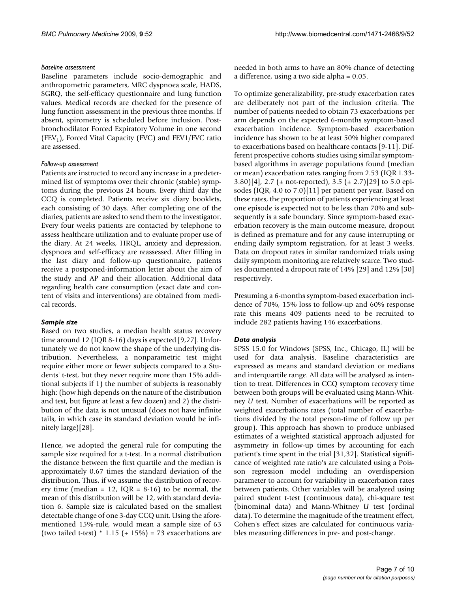#### *Baseline assessment*

Baseline parameters include socio-demographic and anthropometric parameters, MRC dyspnoea scale, HADS, SGRQ, the self-efficacy questionnaire and lung function values. Medical records are checked for the presence of lung function assessment in the previous three months. If absent, spirometry is scheduled before inclusion. Postbronchodilator Forced Expiratory Volume in one second  $(FEV<sub>1</sub>)$ , Forced Vital Capacity (FVC) and FEV1/FVC ratio are assessed.

#### *Follow-up assessment*

Patients are instructed to record any increase in a predetermined list of symptoms over their chronic (stable) symptoms during the previous 24 hours. Every third day the CCQ is completed. Patients receive six diary booklets, each consisting of 30 days. After completing one of the diaries, patients are asked to send them to the investigator. Every four weeks patients are contacted by telephone to assess healthcare utilization and to evaluate proper use of the diary. At 24 weeks, HRQL, anxiety and depression, dyspnoea and self-efficacy are reassessed. After filling in the last diary and follow-up questionnaire, patients receive a postponed-information letter about the aim of the study and AP and their allocation. Additional data regarding health care consumption (exact date and content of visits and interventions) are obtained from medical records.

#### *Sample size*

Based on two studies, a median health status recovery time around 12 (IQR 8-16) days is expected [9,27]. Unfortunately we do not know the shape of the underlying distribution. Nevertheless, a nonparametric test might require either more or fewer subjects compared to a Students' t-test, but they never require more than 15% additional subjects if 1) the number of subjects is reasonably high: (how high depends on the nature of the distribution and test, but figure at least a few dozen) and 2) the distribution of the data is not unusual (does not have infinite tails, in which case its standard deviation would be infinitely large)[28].

Hence, we adopted the general rule for computing the sample size required for a t-test. In a normal distribution the distance between the first quartile and the median is approximately 0.67 times the standard deviation of the distribution. Thus, if we assume the distribution of recovery time (median = 12,  $IQR = 8-16$ ) to be normal, the mean of this distribution will be 12, with standard deviation 6. Sample size is calculated based on the smallest detectable change of one 3-day CCQ unit. Using the aforementioned 15%-rule, would mean a sample size of 63 (two tailed t-test) \* 1.15 (+ 15%) = 73 exacerbations are needed in both arms to have an 80% chance of detecting a difference, using a two side alpha = 0.05.

To optimize generalizability, pre-study exacerbation rates are deliberately not part of the inclusion criteria. The number of patients needed to obtain 73 exacerbations per arm depends on the expected 6-months symptom-based exacerbation incidence. Symptom-based exacerbation incidence has shown to be at least 50% higher compared to exacerbations based on healthcare contacts [9-11]. Different prospective cohorts studies using similar symptombased algorithms in average populations found (median or mean) exacerbation rates ranging from 2.53 (IQR 1.33- 3.80)[4], 2.7 ( $\pm$  not-reported), 3.5 ( $\pm$  2.7)[29] to 5.0 episodes (IQR, 4.0 to 7.0)[11] per patient per year. Based on these rates, the proportion of patients experiencing at least one episode is expected not to be less than 70% and subsequently is a safe boundary. Since symptom-based exacerbation recovery is the main outcome measure, dropout is defined as premature and for any cause interrupting or ending daily symptom registration, for at least 3 weeks. Data on dropout rates in similar randomized trials using daily symptom monitoring are relatively scarce. Two studies documented a dropout rate of 14% [29] and 12% [30] respectively.

Presuming a 6-months symptom-based exacerbation incidence of 70%, 15% loss to follow-up and 60% response rate this means 409 patients need to be recruited to include 282 patients having 146 exacerbations.

#### *Data analysis*

SPSS 15.0 for Windows (SPSS, Inc., Chicago, IL) will be used for data analysis. Baseline characteristics are expressed as means and standard deviation or medians and interquartile range. All data will be analysed as intention to treat. Differences in CCQ symptom recovery time between both groups will be evaluated using Mann-Whitney *U* test. Number of exacerbations will be reported as weighted exacerbations rates (total number of exacerbations divided by the total person-time of follow up per group). This approach has shown to produce unbiased estimates of a weighted statistical approach adjusted for asymmetry in follow-up times by accounting for each patient's time spent in the trial [31,32]. Statistical significance of weighted rate ratio's are calculated using a Poisson regression model including an overdispersion parameter to account for variability in exacerbation rates between patients. Other variables will be analyzed using paired student t-test (continuous data), chi-square test (binominal data) and Mann-Whitney *U* test (ordinal data). To determine the magnitude of the treatment effect, Cohen's effect sizes are calculated for continuous variables measuring differences in pre- and post-change.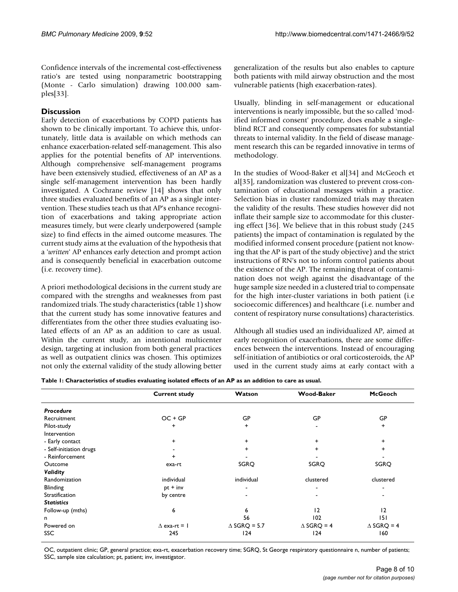Confidence intervals of the incremental cost-effectiveness ratio's are tested using nonparametric bootstrapping (Monte - Carlo simulation) drawing 100.000 samples[33].

# **Discussion**

Early detection of exacerbations by COPD patients has shown to be clinically important. To achieve this, unfortunately, little data is available on which methods can enhance exacerbation-related self-management. This also applies for the potential benefits of AP interventions. Although comprehensive self-management programs have been extensively studied, effectiveness of an AP as a single self-management intervention has been hardly investigated. A Cochrane review [14] shows that only three studies evaluated benefits of an AP as a single intervention. These studies teach us that AP's enhance recognition of exacerbations and taking appropriate action measures timely, but were clearly underpowered (sample size) to find effects in the aimed outcome measures. The current study aims at the evaluation of the hypothesis that a '*written*' AP enhances early detection and prompt action and is consequently beneficial in exacerbation outcome (i.e. recovery time).

A priori methodological decisions in the current study are compared with the strengths and weaknesses from past randomized trials. The study characteristics (table 1) show that the current study has some innovative features and differentiates from the other three studies evaluating isolated effects of an AP as an addition to care as usual. Within the current study, an intentional multicenter design, targeting at inclusion from both general practices as well as outpatient clinics was chosen. This optimizes not only the external validity of the study allowing better generalization of the results but also enables to capture both patients with mild airway obstruction and the most vulnerable patients (high exacerbation-rates).

Usually, blinding in self-management or educational interventions is nearly impossible, but the so called 'modified informed consent' procedure, does enable a singleblind RCT and consequently compensates for substantial threats to internal validity. In the field of disease management research this can be regarded innovative in terms of methodology.

In the studies of Wood-Baker et al[34] and McGeoch et al[35], randomization was clustered to prevent cross-contamination of educational messages within a practice. Selection bias in cluster randomized trials may threaten the validity of the results. These studies however did not inflate their sample size to accommodate for this clustering effect [36]. We believe that in this robust study (245 patients) the impact of contamination is regulated by the modified informed consent procedure (patient not knowing that the AP is part of the study objective) and the strict instructions of RN's not to inform control patients about the existence of the AP. The remaining threat of contamination does not weigh against the disadvantage of the huge sample size needed in a clustered trial to compensate for the high inter-cluster variations in both patient (i.e socioecomic differences) and healthcare (i.e. number and content of respiratory nurse consultations) characteristics.

Although all studies used an individualized AP, aimed at early recognition of exacerbations, there are some differences between the interventions. Instead of encouraging self-initiation of antibiotics or oral corticosteroids, the AP used in the current study aims at early contact with a

**Table 1: Characteristics of studies evaluating isolated effects of an AP as an addition to care as usual.**

|                         | <b>Current study</b>     | Watson                 | <b>Wood-Baker</b>    | <b>McGeoch</b>       |
|-------------------------|--------------------------|------------------------|----------------------|----------------------|
| Procedure               |                          |                        |                      |                      |
| Recruitment             | $OC + GP$                | GP                     | GP                   | GP                   |
| Pilot-study             | $\ddot{}$                | $\ddot{}$              |                      | $\ddot{}$            |
| Intervention            |                          |                        |                      |                      |
| - Early contact         | $\ddot{}$                | $\ddot{}$              | $\ddot{}$            | +                    |
| - Self-initiation drugs | $\overline{\phantom{a}}$ | $\ddot{}$              | $\ddot{}$            | $\ddot{}$            |
| - Reinforcement         | $\ddot{}$                |                        |                      |                      |
| Outcome                 | exa-rt                   | SGRO                   | SGRO                 | SGRO                 |
| Validity                |                          |                        |                      |                      |
| Randomization           | individual               | individual             | clustered            | clustered            |
| <b>Blinding</b>         | $pt + inv$               |                        | ۰                    |                      |
| Stratification          | by centre                |                        |                      |                      |
| <b>Statistics</b>       |                          |                        |                      |                      |
| Follow-up (mths)        | 6                        | 6                      | 12                   | 12                   |
| n.                      |                          | 56                     | 102                  | 151                  |
| Powered on              | $\triangle$ exa-rt = 1   | $\triangle$ SGRQ = 5.7 | $\triangle$ SGRQ = 4 | $\triangle$ SGRQ = 4 |
| <b>SSC</b>              | 245                      | 124                    | 124                  | 160                  |

OC, outpatient clinic; GP, general practice; exa-rt, exacerbation recovery time; SGRQ, St George respiratory questionnaire n, number of patients; SSC, sample size calculation; pt, patient; inv, investigator.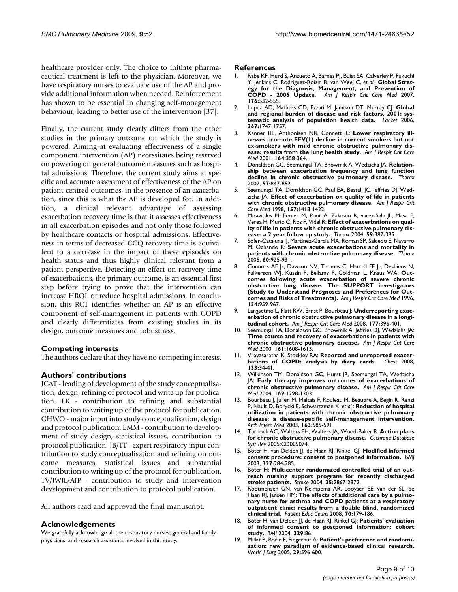healthcare provider only. The choice to initiate pharmaceutical treatment is left to the physician. Moreover, we have respiratory nurses to evaluate use of the AP and provide additional information when needed. Reinforcement has shown to be essential in changing self-management behaviour, leading to better use of the intervention [37].

Finally, the current study clearly differs from the other studies in the primary outcome on which the study is powered. Aiming at evaluating effectiveness of a single component intervention (AP) necessitates being reserved on powering on general outcome measures such as hospital admissions. Therefore, the current study aims at specific and accurate assessment of effectiveness of the AP on patient-centred outcomes, in the presence of an exacerbation, since this is what the AP is developed for. In addition, a clinical relevant advantage of assessing exacerbation recovery time is that it assesses effectiveness in all exacerbation episodes and not only those followed by healthcare contacts or hospital admissions. Effectiveness in terms of decreased CCQ recovery time is equivalent to a decrease in the impact of these episodes on health status and thus highly clinical relevant from a patient perspective. Detecting an effect on recovery time of exacerbations, the primary outcome, is an essential first step before trying to prove that the intervention can increase HRQL or reduce hospital admissions. In conclusion, this RCT identifies whether an AP is an effective component of self-management in patients with COPD and clearly differentiates from existing studies in its design, outcome measures and robustness.

# **Competing interests**

The authors declare that they have no competing interests.

#### **Authors' contributions**

JCAT - leading of development of the study conceptualisation, design, refining of protocol and write up for publication. LK - contribution to refining and substantial contribution to writing up of the protocol for publication. GHWO - major input into study conceptualisation, design and protocol publication. EMM - contribution to development of study design, statistical issues, contribution to protocol publication. JB/TT - expert respiratory input contribution to study conceptualisation and refining on outcome measures, statistical issues and substantial contribution to writing up of the protocol for publication. TV/JWJL/AJP - contribution to study and intervention development and contribution to protocol publication.

All authors read and approved the final manuscript.

#### **Acknowledgements**

We gratefully acknowledge all the respiratory nurses, general and family physicians, and research assistants involved in this study.

#### **References**

- Rabe KF, Hurd S, Anzueto A, Barnes PJ, Buist SA, Calverley P, Fukuchi Y, Jenkins C, Rodriguez-Roisin R, van Weel C, *et al.*: **[Global Strat](http://www.ncbi.nlm.nih.gov/entrez/query.fcgi?cmd=Retrieve&db=PubMed&dopt=Abstract&list_uids=17507545)[egy for the Diagnosis, Management, and Prevention of](http://www.ncbi.nlm.nih.gov/entrez/query.fcgi?cmd=Retrieve&db=PubMed&dopt=Abstract&list_uids=17507545) [COPD - 2006 Update.](http://www.ncbi.nlm.nih.gov/entrez/query.fcgi?cmd=Retrieve&db=PubMed&dopt=Abstract&list_uids=17507545)** *Am J Respir Crit Care Med* 2007, **176:**532-555.
- 2. Lopez AD, Mathers CD, Ezzati M, Jamison DT, Murray CJ: [Global](http://www.ncbi.nlm.nih.gov/entrez/query.fcgi?cmd=Retrieve&db=PubMed&dopt=Abstract&list_uids=16731270) **[and regional burden of disease and risk factors, 2001: sys](http://www.ncbi.nlm.nih.gov/entrez/query.fcgi?cmd=Retrieve&db=PubMed&dopt=Abstract&list_uids=16731270)[tematic analysis of population health data.](http://www.ncbi.nlm.nih.gov/entrez/query.fcgi?cmd=Retrieve&db=PubMed&dopt=Abstract&list_uids=16731270)** *Lancet* 2006, **367:**1747-1757.
- 3. Kanner RE, Anthonisen NR, Connett JE: **[Lower respiratory ill](http://www.ncbi.nlm.nih.gov/entrez/query.fcgi?cmd=Retrieve&db=PubMed&dopt=Abstract&list_uids=11500333)[nesses promote FEV\(1\) decline in current smokers but not](http://www.ncbi.nlm.nih.gov/entrez/query.fcgi?cmd=Retrieve&db=PubMed&dopt=Abstract&list_uids=11500333) ex-smokers with mild chronic obstructive pulmonary dis[ease: results from the lung health study.](http://www.ncbi.nlm.nih.gov/entrez/query.fcgi?cmd=Retrieve&db=PubMed&dopt=Abstract&list_uids=11500333)** *Am J Respir Crit Care Med* 2001, **164:**358-364.
- 4. Donaldson GC, Seemungal TA, Bhowmik A, Wedzicha JA: **[Relation](http://www.ncbi.nlm.nih.gov/entrez/query.fcgi?cmd=Retrieve&db=PubMed&dopt=Abstract&list_uids=12324669)[ship between exacerbation frequency and lung function](http://www.ncbi.nlm.nih.gov/entrez/query.fcgi?cmd=Retrieve&db=PubMed&dopt=Abstract&list_uids=12324669) [decline in chronic obstructive pulmonary disease.](http://www.ncbi.nlm.nih.gov/entrez/query.fcgi?cmd=Retrieve&db=PubMed&dopt=Abstract&list_uids=12324669)** *Thorax* 2002, **57:**847-852.
- 5. Seemungal TA, Donaldson GC, Paul EA, Bestall JC, Jeffries DJ, Wedzicha JA: **[Effect of exacerbation on quality of life in patients](http://www.ncbi.nlm.nih.gov/entrez/query.fcgi?cmd=Retrieve&db=PubMed&dopt=Abstract&list_uids=9603117) [with chronic obstructive pulmonary disease.](http://www.ncbi.nlm.nih.gov/entrez/query.fcgi?cmd=Retrieve&db=PubMed&dopt=Abstract&list_uids=9603117)** *Am J Respir Crit Care Med* 1998, **157:**1418-1422.
- Miravitlles M, Ferrer M, Pont A, Zalacain R, varez-Sala JL, Masa F, Verea H, Murio C, Ros F, Vidal R: **[Effect of exacerbations on qual](http://www.ncbi.nlm.nih.gov/entrez/query.fcgi?cmd=Retrieve&db=PubMed&dopt=Abstract&list_uids=15115864)[ity of life in patients with chronic obstructive pulmonary dis](http://www.ncbi.nlm.nih.gov/entrez/query.fcgi?cmd=Retrieve&db=PubMed&dopt=Abstract&list_uids=15115864)[ease: a 2 year follow up study.](http://www.ncbi.nlm.nih.gov/entrez/query.fcgi?cmd=Retrieve&db=PubMed&dopt=Abstract&list_uids=15115864)** *Thorax* 2004, **59:**387-395.
- 7. Soler-Cataluna JJ, Martinez-Garcia MA, Roman SP, Salcedo E, Navarro M, Ochando R: **[Severe acute exacerbations and mortality in](http://www.ncbi.nlm.nih.gov/entrez/query.fcgi?cmd=Retrieve&db=PubMed&dopt=Abstract&list_uids=16055622) [patients with chronic obstructive pulmonary disease.](http://www.ncbi.nlm.nih.gov/entrez/query.fcgi?cmd=Retrieve&db=PubMed&dopt=Abstract&list_uids=16055622)** *Thorax* 2005, **60:**925-931.
- 8. Connors AF Jr, Dawson NV, Thomas C, Harrell FE Jr, Desbiens N, Fulkerson WJ, Kussin P, Bellamy P, Goldman L, Knaus WA: **[Out](http://www.ncbi.nlm.nih.gov/entrez/query.fcgi?cmd=Retrieve&db=PubMed&dopt=Abstract&list_uids=8887592)[comes following acute exacerbation of severe chronic](http://www.ncbi.nlm.nih.gov/entrez/query.fcgi?cmd=Retrieve&db=PubMed&dopt=Abstract&list_uids=8887592) obstructive lung disease. The SUPPORT investigators (Study to Understand Prognoses and Preferences for Out[comes and Risks of Treatments\).](http://www.ncbi.nlm.nih.gov/entrez/query.fcgi?cmd=Retrieve&db=PubMed&dopt=Abstract&list_uids=8887592)** *Am J Respir Crit Care Med* 1996, **154:**959-967.
- 9. Langsetmo L, Platt RW, Ernst P, Bourbeau J: **[Underreporting exac](http://www.ncbi.nlm.nih.gov/entrez/query.fcgi?cmd=Retrieve&db=PubMed&dopt=Abstract&list_uids=18048806)[erbation of chronic obstructive pulmonary disease in a longi](http://www.ncbi.nlm.nih.gov/entrez/query.fcgi?cmd=Retrieve&db=PubMed&dopt=Abstract&list_uids=18048806)[tudinal cohort.](http://www.ncbi.nlm.nih.gov/entrez/query.fcgi?cmd=Retrieve&db=PubMed&dopt=Abstract&list_uids=18048806)** *Am J Respir Crit Care Med* 2008, **177:**396-401.
- 10. Seemungal TA, Donaldson GC, Bhowmik A, Jeffries DJ, Wedzicha JA: **[Time course and recovery of exacerbations in patients with](http://www.ncbi.nlm.nih.gov/entrez/query.fcgi?cmd=Retrieve&db=PubMed&dopt=Abstract&list_uids=10806163) [chronic obstructive pulmonary disease.](http://www.ncbi.nlm.nih.gov/entrez/query.fcgi?cmd=Retrieve&db=PubMed&dopt=Abstract&list_uids=10806163)** *Am J Respir Crit Care Med* 2000, **161:**1608-1613.
- 11. Vijayasaratha K, Stockley RA: **[Reported and unreported exacer](http://www.ncbi.nlm.nih.gov/entrez/query.fcgi?cmd=Retrieve&db=PubMed&dopt=Abstract&list_uids=17989153)[bations of COPD: analysis by diary cards.](http://www.ncbi.nlm.nih.gov/entrez/query.fcgi?cmd=Retrieve&db=PubMed&dopt=Abstract&list_uids=17989153)** *Chest* 2008, **133:**34-41.
- 12. Wilkinson TM, Donaldson GC, Hurst JR, Seemungal TA, Wedzicha JA: **[Early therapy improves outcomes of exacerbations of](http://www.ncbi.nlm.nih.gov/entrez/query.fcgi?cmd=Retrieve&db=PubMed&dopt=Abstract&list_uids=14990395) [chronic obstructive pulmonary disease.](http://www.ncbi.nlm.nih.gov/entrez/query.fcgi?cmd=Retrieve&db=PubMed&dopt=Abstract&list_uids=14990395)** *Am J Respir Crit Care Med* 2004, **169:**1298-1303.
- 13. Bourbeau J, Julien M, Maltais F, Rouleau M, Beaupre A, Begin R, Renzi P, Nault D, Borycki E, Schwartzman K, *et al.*: **[Reduction of hospital](http://www.ncbi.nlm.nih.gov/entrez/query.fcgi?cmd=Retrieve&db=PubMed&dopt=Abstract&list_uids=12622605) [utilization in patients with chronic obstructive pulmonary](http://www.ncbi.nlm.nih.gov/entrez/query.fcgi?cmd=Retrieve&db=PubMed&dopt=Abstract&list_uids=12622605) disease: a disease-specific self-management intervention.** *Arch Intern Med* 2003, **163:**585-591.
- 14. Turnock AC, Walters EH, Walters JA, Wood-Baker R: **[Action plans](http://www.ncbi.nlm.nih.gov/entrez/query.fcgi?cmd=Retrieve&db=PubMed&dopt=Abstract&list_uids=16235392) [for chronic obstructive pulmonary disease.](http://www.ncbi.nlm.nih.gov/entrez/query.fcgi?cmd=Retrieve&db=PubMed&dopt=Abstract&list_uids=16235392)** *Cochrane Database Syst Rev* 2005:CD005074.
- 15. Boter H, van Delden JJ, de Haan RJ, Rinkel GJ: **[Modified informed](http://www.ncbi.nlm.nih.gov/entrez/query.fcgi?cmd=Retrieve&db=PubMed&dopt=Abstract&list_uids=12896945) [consent procedure: consent to postponed information.](http://www.ncbi.nlm.nih.gov/entrez/query.fcgi?cmd=Retrieve&db=PubMed&dopt=Abstract&list_uids=12896945)** *BMJ* 2003, **327:**284-285.
- 16. Boter H: **[Multicenter randomized controlled trial of an out](http://www.ncbi.nlm.nih.gov/entrez/query.fcgi?cmd=Retrieve&db=PubMed&dopt=Abstract&list_uids=15514186)[reach nursing support program for recently discharged](http://www.ncbi.nlm.nih.gov/entrez/query.fcgi?cmd=Retrieve&db=PubMed&dopt=Abstract&list_uids=15514186) [stroke patients.](http://www.ncbi.nlm.nih.gov/entrez/query.fcgi?cmd=Retrieve&db=PubMed&dopt=Abstract&list_uids=15514186)** *Stroke* 2004, **35:**2867-2872.
- 17. Rootmensen GN, van Keimpema AR, Looysen EE, van der SL, de Haan RJ, Jansen HM: [The effects of additional care by a pulmo](http://www.ncbi.nlm.nih.gov/entrez/query.fcgi?cmd=Retrieve&db=PubMed&dopt=Abstract&list_uids=18031971)**[nary nurse for asthma and COPD patients at a respiratory](http://www.ncbi.nlm.nih.gov/entrez/query.fcgi?cmd=Retrieve&db=PubMed&dopt=Abstract&list_uids=18031971) outpatient clinic: results from a double blind, randomized [clinical trial.](http://www.ncbi.nlm.nih.gov/entrez/query.fcgi?cmd=Retrieve&db=PubMed&dopt=Abstract&list_uids=18031971)** *Patient Educ Couns* 2008, **70:**179-186.
- 18. Boter H, van Delden JJ, de Haan RJ, Rinkel GJ: **[Patients' evaluation](http://www.ncbi.nlm.nih.gov/entrez/query.fcgi?cmd=Retrieve&db=PubMed&dopt=Abstract&list_uids=15210571) [of informed consent to postponed information: cohort](http://www.ncbi.nlm.nih.gov/entrez/query.fcgi?cmd=Retrieve&db=PubMed&dopt=Abstract&list_uids=15210571) [study.](http://www.ncbi.nlm.nih.gov/entrez/query.fcgi?cmd=Retrieve&db=PubMed&dopt=Abstract&list_uids=15210571)** *BMJ* 2004, **329:**86.
- 19. Millat B, Borie F, Fingerhut A: **[Patient's preference and randomi](http://www.ncbi.nlm.nih.gov/entrez/query.fcgi?cmd=Retrieve&db=PubMed&dopt=Abstract&list_uids=15827836)[zation: new paradigm of evidence-based clinical research.](http://www.ncbi.nlm.nih.gov/entrez/query.fcgi?cmd=Retrieve&db=PubMed&dopt=Abstract&list_uids=15827836)** *World J Surg* 2005, **29:**596-600.